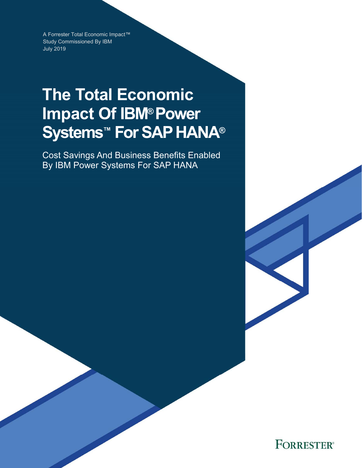A Forrester Total Economic Impact™ Study Commissioned By IBM July 2019

# **The Total Economic Impact Of IBM® Power Systems™ For SAP HANA®**

Cost Savings And Business Benefits Enabled By IBM Power Systems For SAP HANA

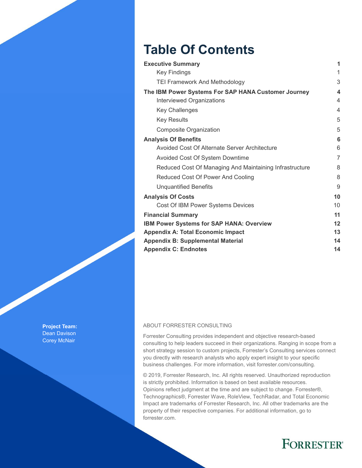## **Table Of Contents**

| <b>Executive Summary</b>                                | 1  |
|---------------------------------------------------------|----|
| <b>Key Findings</b>                                     | 1  |
| <b>TEI Framework And Methodology</b>                    | 3  |
| The IBM Power Systems For SAP HANA Customer Journey     | 4  |
| Interviewed Organizations                               | 4  |
| <b>Key Challenges</b>                                   | 4  |
| <b>Key Results</b>                                      | 5  |
| Composite Organization                                  | 5  |
| <b>Analysis Of Benefits</b>                             | 6  |
| Avoided Cost Of Alternate Server Architecture           | 6  |
| Avoided Cost Of System Downtime                         | 7  |
| Reduced Cost Of Managing And Maintaining Infrastructure | 8  |
| Reduced Cost Of Power And Cooling                       | 8  |
| <b>Unquantified Benefits</b>                            | 9  |
| <b>Analysis Of Costs</b>                                | 10 |
| Cost Of IBM Power Systems Devices                       | 10 |
| <b>Financial Summary</b>                                | 11 |
| <b>IBM Power Systems for SAP HANA: Overview</b>         | 12 |
| <b>Appendix A: Total Economic Impact</b>                | 13 |
| <b>Appendix B: Supplemental Material</b>                | 14 |
| <b>Appendix C: Endnotes</b>                             | 14 |

#### ABOUT FORRESTER CONSULTING

Forrester Consulting provides independent and objective research-based consulting to help leaders succeed in their organizations. Ranging in scope from a short strategy session to custom projects, Forrester's Consulting services connect you directly with research analysts who apply expert insight to your specific business challenges. For more information, visit forrester.com/consulting.

© 2019, Forrester Research, Inc. All rights reserved. Unauthorized reproduction is strictly prohibited. Information is based on best available resources. Opinions reflect judgment at the time and are subject to change. Forrester®, Technographics®, Forrester Wave, RoleView, TechRadar, and Total Economic Impact are trademarks of Forrester Research, Inc. All other trademarks are the property of their respective companies. For additional information, go to forrester.com.

## **FORRESTER®**

**Project Team:**  Dean Davison Corey McNair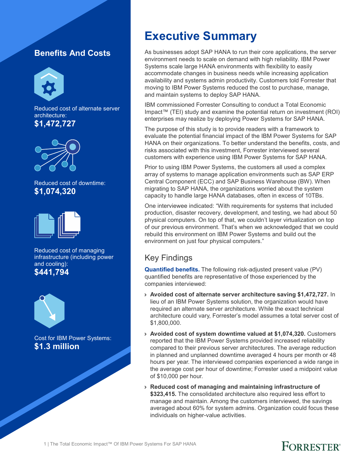### **Benefits And Costs**



Reduced cost of alternate server architecture: **\$1,472,727** 



Reduced cost of downtime: **\$1,074,320** 



Reduced cost of managing infrastructure (including power and cooling): **\$441,794** 





Cost for IBM Power Systems: **\$1.3 million** 

## **Executive Summary**

As businesses adopt SAP HANA to run their core applications, the server environment needs to scale on demand with high reliability. IBM Power Systems scale large HANA environments with flexibility to easily accommodate changes in business needs while increasing application availability and systems admin productivity. Customers told Forrester that moving to IBM Power Systems reduced the cost to purchase, manage, and maintain systems to deploy SAP HANA.

IBM commissioned Forrester Consulting to conduct a Total Economic Impact™ (TEI) study and examine the potential return on investment (ROI) enterprises may realize by deploying Power Systems for SAP HANA.

The purpose of this study is to provide readers with a framework to evaluate the potential financial impact of the IBM Power Systems for SAP HANA on their organizations. To better understand the benefits, costs, and risks associated with this investment, Forrester interviewed several customers with experience using IBM Power Systems for SAP HANA.

Prior to using IBM Power Systems, the customers all used a complex array of systems to manage application environments such as SAP ERP Central Component (ECC) and SAP Business Warehouse (BW). When migrating to SAP HANA, the organizations worried about the system capacity to handle large HANA databases, often in excess of 10TBs.

One interviewee indicated: "With requirements for systems that included production, disaster recovery, development, and testing, we had about 50 physical computers. On top of that, we couldn't layer virtualization on top of our previous environment. That's when we acknowledged that we could rebuild this environment on IBM Power Systems and build out the environment on just four physical computers."

### Key Findings

**Quantified benefits.** The following risk-adjusted present value (PV) quantified benefits are representative of those experienced by the companies interviewed:

- › **Avoided cost of alternate server architecture saving \$1,472,727.** In lieu of an IBM Power Systems solution, the organization would have required an alternate server architecture. While the exact technical architecture could vary, Forrester's model assumes a total server cost of \$1,800,000.
- › **Avoided cost of system downtime valued at \$1,074,320.** Customers reported that the IBM Power Systems provided increased reliability compared to their previous server architectures. The average reduction in planned and unplanned downtime averaged 4 hours per month or 48 hours per year. The interviewed companies experienced a wide range in the average cost per hour of downtime; Forrester used a midpoint value of \$10,000 per hour.
- › **Reduced cost of managing and maintaining infrastructure of \$323,415.** The consolidated architecture also required less effort to manage and maintain. Among the customers interviewed, the savings averaged about 60% for system admins. Organization could focus these individuals on higher-value activities.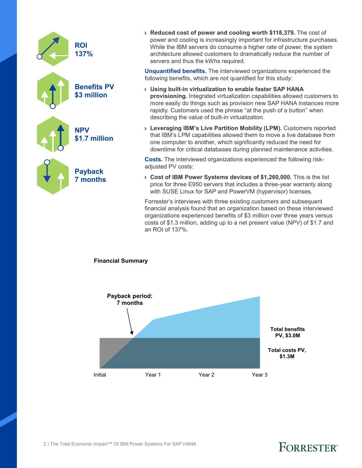| <b>ROI</b><br>137%                |
|-----------------------------------|
| <b>Benefits PV</b><br>\$3 million |
| <b>NPV</b><br>\$1.7 million       |
| <b>Payback</b><br>7 months        |

› **Reduced cost of power and cooling worth \$118,379.** The cost of power and cooling is increasingly important for infrastructure purchases. While the IBM servers do consume a higher rate of power, the system architecture allowed customers to dramatically reduce the number of servers and thus the kWhs required.

**Unquantified benefits.** The interviewed organizations experienced the following benefits, which are not quantified for this study:

- › **Using built-in virtualization to enable faster SAP HANA provisioning.** Integrated virtualization capabilities allowed customers to more easily do things such as provision new SAP HANA instances more rapidly. Customers used the phrase "at the push of a button" when describing the value of built-in virtualization.
- › **Leveraging IBM's Live Partition Mobility (LPM).** Customers reported that IBM's LPM capabilities allowed them to move a live database from one computer to another, which significantly reduced the need for downtime for critical databases during planned maintenance activities.

**Costs.** The interviewed organizations experienced the following riskadjusted PV costs:

› **Cost of IBM Power Systems devices of \$1,260,000.** This is the list price for three E950 servers that includes a three-year warranty along with SUSE Linux for SAP and PowerVM (hypervisor) licenses.

Forrester's interviews with three existing customers and subsequent financial analysis found that an organization based on these interviewed organizations experienced benefits of \$3 million over three years versus costs of \$1.3 million, adding up to a net present value (NPV) of \$1.7 and an ROI of 137%.

#### **Financial Summary**

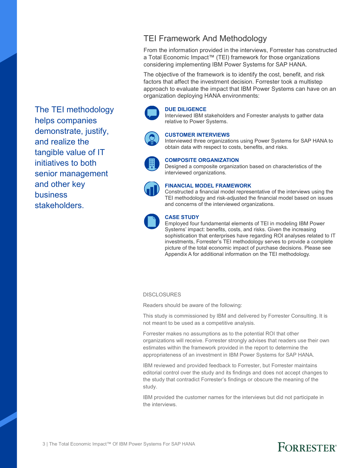The TEI methodology helps companies demonstrate, justify, and realize the tangible value of IT initiatives to both senior management and other key business stakeholders.

### TEI Framework And Methodology

From the information provided in the interviews, Forrester has constructed a Total Economic Impact™ (TEI) framework for those organizations considering implementing IBM Power Systems for SAP HANA.

The objective of the framework is to identify the cost, benefit, and risk factors that affect the investment decision. Forrester took a multistep approach to evaluate the impact that IBM Power Systems can have on an organization deploying HANA environments:



#### **DUE DILIGENCE**

Interviewed IBM stakeholders and Forrester analysts to gather data relative to Power Systems.



#### **CUSTOMER INTERVIEWS**

Interviewed three organizations using Power Systems for SAP HANA to obtain data with respect to costs, benefits, and risks.



#### **COMPOSITE ORGANIZATION**

Designed a composite organization based on characteristics of the interviewed organizations.



#### **FINANCIAL MODEL FRAMEWORK**

Constructed a financial model representative of the interviews using the TEI methodology and risk-adjusted the financial model based on issues and concerns of the interviewed organizations.



#### **CASE STUDY**

Employed four fundamental elements of TEI in modeling IBM Power Systems' impact: benefits, costs, and risks. Given the increasing sophistication that enterprises have regarding ROI analyses related to IT investments, Forrester's TEI methodology serves to provide a complete picture of the total economic impact of purchase decisions. Please see Appendix A for additional information on the TEI methodology.

#### **DISCLOSURES**

Readers should be aware of the following:

This study is commissioned by IBM and delivered by Forrester Consulting. It is not meant to be used as a competitive analysis.

Forrester makes no assumptions as to the potential ROI that other organizations will receive. Forrester strongly advises that readers use their own estimates within the framework provided in the report to determine the appropriateness of an investment in IBM Power Systems for SAP HANA.

IBM reviewed and provided feedback to Forrester, but Forrester maintains editorial control over the study and its findings and does not accept changes to the study that contradict Forrester's findings or obscure the meaning of the study.

IBM provided the customer names for the interviews but did not participate in the interviews.

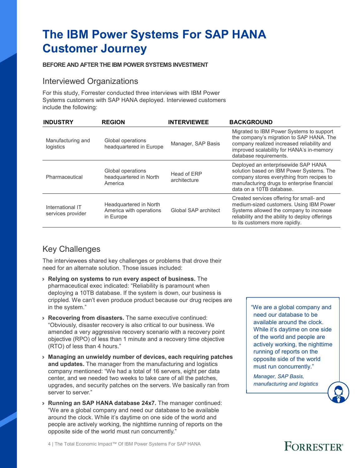## **The IBM Power Systems For SAP HANA Customer Journey**

#### **BEFORE AND AFTER THE IBM POWER SYSTEMS INVESTMENT**

#### Interviewed Organizations

For this study, Forrester conducted three interviews with IBM Power Systems customers with SAP HANA deployed. Interviewed customers include the following:

| <b>INDUSTRY</b>                       | <b>REGION</b>                                                  | <b>INTERVIEWEE</b>          | <b>BACKGROUND</b>                                                                                                                                                                                                   |
|---------------------------------------|----------------------------------------------------------------|-----------------------------|---------------------------------------------------------------------------------------------------------------------------------------------------------------------------------------------------------------------|
| Manufacturing and<br>logistics        | Global operations<br>headquartered in Europe                   | Manager, SAP Basis          | Migrated to IBM Power Systems to support<br>the company's migration to SAP HANA. The<br>company realized increased reliability and<br>improved scalability for HANA's in-memory<br>database requirements.           |
| Pharmaceutical                        | Global operations<br>headquartered in North<br>America         | Head of ERP<br>architecture | Deployed an enterprisewide SAP HANA<br>solution based on IBM Power Systems. The<br>company stores everything from recipes to<br>manufacturing drugs to enterprise financial<br>data on a 10TB database.             |
| International IT<br>services provider | Headquartered in North<br>America with operations<br>in Europe | Global SAP architect        | Created services offering for small- and<br>medium-sized customers. Using IBM Power<br>Systems allowed the company to increase<br>reliability and the ability to deploy offerings<br>to its customers more rapidly. |

#### Key Challenges

The interviewees shared key challenges or problems that drove their need for an alternate solution. Those issues included:

- › **Relying on systems to run every aspect of business.** The pharmaceutical exec indicated: "Reliability is paramount when deploying a 10TB database. If the system is down, our business is crippled. We can't even produce product because our drug recipes are in the system."
- › **Recovering from disasters.** The same executive continued: "Obviously, disaster recovery is also critical to our business. We amended a very aggressive recovery scenario with a recovery point objective (RPO) of less than 1 minute and a recovery time objective (RTO) of less than 4 hours."
- › **Managing an unwieldy number of devices, each requiring patches and updates.** The manager from the manufacturing and logistics company mentioned: "We had a total of 16 servers, eight per data center, and we needed two weeks to take care of all the patches, upgrades, and security patches on the servers. We basically ran from server to server."
- › **Running an SAP HANA database 24x7.** The manager continued: "We are a global company and need our database to be available around the clock. While it's daytime on one side of the world and people are actively working, the nighttime running of reports on the opposite side of the world must run concurrently."

"We are a global company and need our database to be available around the clock. While it's daytime on one side of the world and people are actively working, the nighttime running of reports on the opposite side of the world must run concurrently."

*Manager, SAP Basis, manufacturing and logistics* 

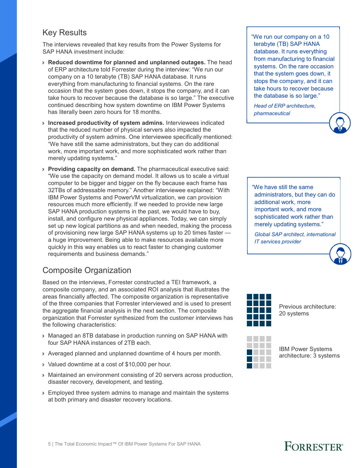#### Key Results

The interviews revealed that key results from the Power Systems for SAP HANA investment include:

- › **Reduced downtime for planned and unplanned outages.** The head of ERP architecture told Forrester during the interview: "We run our company on a 10 terabyte (TB) SAP HANA database. It runs everything from manufacturing to financial systems. On the rare occasion that the system goes down, it stops the company, and it can take hours to recover because the database is so large." The executive continued describing how system downtime on IBM Power Systems has literally been zero hours for 18 months.
- › **Increased productivity of system admins.** Interviewees indicated that the reduced number of physical servers also impacted the productivity of system admins. One interviewee specifically mentioned: "We have still the same administrators, but they can do additional work, more important work, and more sophisticated work rather than merely updating systems."
- › **Providing capacity on demand.** The pharmaceutical executive said: "We use the capacity on demand model. It allows us to scale a virtual computer to be bigger and bigger on the fly because each frame has 32TBs of addressable memory." Another interviewee explained: "With IBM Power Systems and PowerVM virtualization, we can provision resources much more efficiently. If we needed to provide new large SAP HANA production systems in the past, we would have to buy, install, and configure new physical appliances. Today, we can simply set up new logical partitions as and when needed, making the process of provisioning new large SAP HANA systems up to 20 times faster a huge improvement. Being able to make resources available more quickly in this way enables us to react faster to changing customer requirements and business demands."

### Composite Organization

Based on the interviews, Forrester constructed a TEI framework, a composite company, and an associated ROI analysis that illustrates the areas financially affected. The composite organization is representative of the three companies that Forrester interviewed and is used to present the aggregate financial analysis in the next section. The composite organization that Forrester synthesized from the customer interviews has the following characteristics:

- › Managed an 8TB database in production running on SAP HANA with four SAP HANA instances of 2TB each.
- › Averaged planned and unplanned downtime of 4 hours per month.
- › Valued downtime at a cost of \$10,000 per hour.
- › Maintained an environment consisting of 20 servers across production, disaster recovery, development, and testing.
- › Employed three system admins to manage and maintain the systems at both primary and disaster recovery locations.

"We run our company on a 10 terabyte (TB) SAP HANA database. It runs everything from manufacturing to financial systems. On the rare occasion that the system goes down, it stops the company, and it can take hours to recover because the database is so large."

*Head of ERP architecture, pharmaceutical* 

"We have still the same administrators, but they can do additional work, more important work, and more sophisticated work rather than merely updating systems."

*Global SAP architect, international IT services provider* 



Previous architecture: 20 systems



IBM Power Systems architecture: 3 systems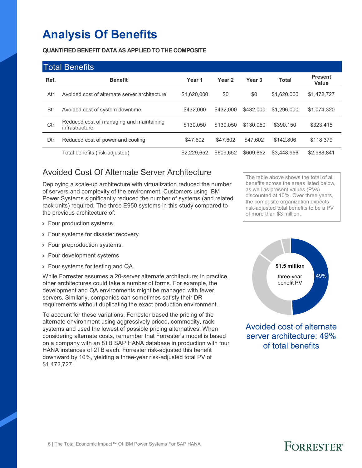## **Analysis Of Benefits**

**QUANTIFIED BENEFIT DATA AS APPLIED TO THE COMPOSITE**

|            | <b>Total Benefits</b>                                      |             |           |                   |              |                         |  |  |  |  |
|------------|------------------------------------------------------------|-------------|-----------|-------------------|--------------|-------------------------|--|--|--|--|
| Ref.       | <b>Benefit</b>                                             | Year 1      | Year 2    | Year <sub>3</sub> | <b>Total</b> | <b>Present</b><br>Value |  |  |  |  |
| Atr        | Avoided cost of alternate server architecture              | \$1,620,000 | \$0       | \$0               | \$1,620,000  | \$1,472,727             |  |  |  |  |
| <b>Btr</b> | Avoided cost of system downtime                            | \$432,000   | \$432,000 | \$432,000         | \$1.296.000  | \$1,074,320             |  |  |  |  |
| Ctr        | Reduced cost of managing and maintaining<br>infrastructure | \$130.050   | \$130.050 | \$130.050         | \$390.150    | \$323,415               |  |  |  |  |
| Dtr        | Reduced cost of power and cooling                          | \$47,602    | \$47.602  | \$47,602          | \$142,806    | \$118,379               |  |  |  |  |
|            | Total benefits (risk-adjusted)                             | \$2.229.652 | \$609.652 | \$609.652         | \$3.448.956  | \$2.988.841             |  |  |  |  |

### Avoided Cost Of Alternate Server Architecture

Deploying a scale-up architecture with virtualization reduced the number of servers and complexity of the environment. Customers using IBM Power Systems significantly reduced the number of systems (and related rack units) required. The three E950 systems in this study compared to the previous architecture of:

- › Four production systems.
- › Four systems for disaster recovery.
- › Four preproduction systems.
- › Four development systems
- › Four systems for testing and QA.

While Forrester assumes a 20-server alternate architecture; in practice, other architectures could take a number of forms. For example, the development and QA environments might be managed with fewer servers. Similarly, companies can sometimes satisfy their DR requirements without duplicating the exact production environment.

To account for these variations, Forrester based the pricing of the alternate environment using aggressively priced, commodity, rack systems and used the lowest of possible pricing alternatives. When considering alternate costs, remember that Forrester's model is based on a company with an 8TB SAP HANA database in production with four HANA instances of 2TB each. Forrester risk-adjusted this benefit downward by 10%, yielding a three-year risk-adjusted total PV of \$1,472,727.

The table above shows the total of all benefits across the areas listed below, as well as present values (PVs) discounted at 10%. Over three years, the composite organization expects risk-adjusted total benefits to be a PV of more than \$3 million.



Avoided cost of alternate server architecture: 49% of total benefits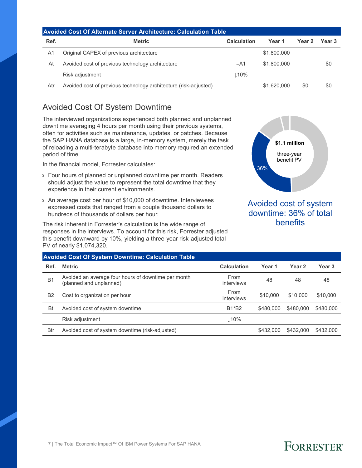| <b>Avoided Cost Of Alternate Server Architecture: Calculation Table</b> |                                                                  |                    |             |               |        |  |  |  |
|-------------------------------------------------------------------------|------------------------------------------------------------------|--------------------|-------------|---------------|--------|--|--|--|
| Ref.                                                                    | <b>Metric</b>                                                    | <b>Calculation</b> | Year 1      | <b>Year 2</b> | Year 3 |  |  |  |
| A <sub>1</sub>                                                          | Original CAPEX of previous architecture                          |                    | \$1,800,000 |               |        |  |  |  |
| At                                                                      | Avoided cost of previous technology architecture                 | $= A1$             | \$1,800,000 |               | \$0    |  |  |  |
|                                                                         | Risk adjustment                                                  | $\perp$ 10%        |             |               |        |  |  |  |
| Atr                                                                     | Avoided cost of previous technology architecture (risk-adjusted) |                    | \$1,620,000 | \$0           | \$0    |  |  |  |

### Avoided Cost Of System Downtime

The interviewed organizations experienced both planned and unplanned downtime averaging 4 hours per month using their previous systems, often for activities such as maintenance, updates, or patches. Because the SAP HANA database is a large, in-memory system, merely the task of reloading a multi-terabyte database into memory required an extended period of time.

In the financial model, Forrester calculates:

- › Four hours of planned or unplanned downtime per month. Readers should adjust the value to represent the total downtime that they experience in their current environments.
- › An average cost per hour of \$10,000 of downtime. Interviewees expressed costs that ranged from a couple thousand dollars to hundreds of thousands of dollars per hour.

The risk inherent in Forrester's calculation is the wide range of responses in the interviews. To account for this risk, Forrester adjusted this benefit downward by 10%, yielding a three-year risk-adjusted total PV of nearly \$1,074,320.



#### Avoided cost of system downtime: 36% of total benefits

|                | <b>Avoided Cost Of System Downtime: Calculation Table</b>                      |                    |           |           |                   |
|----------------|--------------------------------------------------------------------------------|--------------------|-----------|-----------|-------------------|
| Ref.           | <b>Metric</b>                                                                  | Calculation        | Year 1    | Year 2    | Year <sub>3</sub> |
| B <sub>1</sub> | Avoided an average four hours of downtime per month<br>(planned and unplanned) | From<br>interviews | 48        | 48        | 48                |
| B <sub>2</sub> | Cost to organization per hour                                                  | From<br>interviews | \$10,000  | \$10,000  | \$10,000          |
| Bt             | Avoided cost of system downtime                                                | <b>B1*B2</b>       | \$480,000 | \$480,000 | \$480,000         |
|                | Risk adjustment                                                                | ↓10%               |           |           |                   |
| <b>Btr</b>     | Avoided cost of system downtime (risk-adjusted)                                |                    | \$432,000 | \$432,000 | \$432,000         |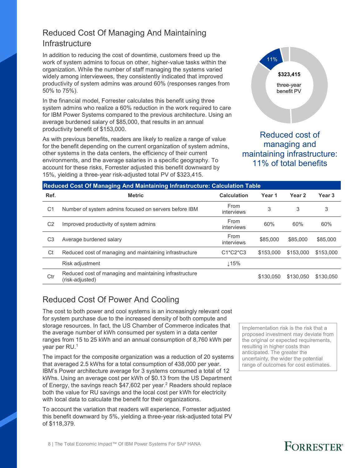### Reduced Cost Of Managing And Maintaining **Infrastructure**

In addition to reducing the cost of downtime, customers freed up the work of system admins to focus on other, higher-value tasks within the organization. While the number of staff managing the systems varied widely among interviewees, they consistently indicated that improved productivity of system admins was around 60% (responses ranges from 50% to 75%).

In the financial model, Forrester calculates this benefit using three system admins who realize a 60% reduction in the work required to care for IBM Power Systems compared to the previous architecture. Using an average burdened salary of \$85,000, that results in an annual productivity benefit of \$153,000.

As with previous benefits, readers are likely to realize a range of value for the benefit depending on the current organization of system admins, other systems in the data centers, the efficiency of their current environments, and the average salaries in a specific geography. To account for these risks, Forrester adjusted this benefit downward by 15%, yielding a three-year risk-adjusted total PV of \$323,415.



Reduced cost of managing and maintaining infrastructure: 11% of total benefits

|                | Reduced Cost Of Managing And Maintaining Infrastructure: Calculation Table |                    |           |                   |                   |  |  |  |  |  |
|----------------|----------------------------------------------------------------------------|--------------------|-----------|-------------------|-------------------|--|--|--|--|--|
| Ref.           | <b>Metric</b>                                                              | <b>Calculation</b> | Year 1    | Year <sub>2</sub> | Year <sub>3</sub> |  |  |  |  |  |
| C <sub>1</sub> | Number of system admins focused on servers before IBM                      | From<br>interviews | 3         | 3                 | 3                 |  |  |  |  |  |
| C <sub>2</sub> | Improved productivity of system admins                                     | From<br>interviews | 60%       | 60%               | 60%               |  |  |  |  |  |
| C <sub>3</sub> | Average burdened salary                                                    | From<br>interviews | \$85,000  | \$85,000          | \$85,000          |  |  |  |  |  |
| Ct             | Reduced cost of managing and maintaining infrastructure                    | $C1*C2*C3$         | \$153,000 | \$153,000         | \$153,000         |  |  |  |  |  |
|                | Risk adjustment                                                            | $\downarrow$ 15%   |           |                   |                   |  |  |  |  |  |
| Ctr            | Reduced cost of managing and maintaining infrastructure<br>(risk-adjusted) |                    | \$130.050 | \$130.050         | \$130,050         |  |  |  |  |  |

### Reduced Cost Of Power And Cooling

The cost to both power and cool systems is an increasingly relevant cost for system purchase due to the increased density of both compute and storage resources. In fact, the US Chamber of Commerce indicates that the average number of kWh consumed per system in a data center ranges from 15 to 25 kWh and an annual consumption of 8,760 kWh per year per RU.<sup>1</sup>

The impact for the composite organization was a reduction of 20 systems that averaged 2.5 kWhs for a total consumption of 438,000 per year. IBM's Power architecture average for 3 systems consumed a total of 12 kWhs. Using an average cost per kWh of \$0.13 from the US Department of Energy, the savings reach  $$47,602$  per year.<sup>2</sup> Readers should replace both the value for RU savings and the local cost per kWh for electricity with local data to calculate the benefit for their organizations.

To account the variation that readers will experience, Forrester adjusted this benefit downward by 5%, yielding a three-year risk-adjusted total PV of \$118,379.

Implementation risk is the risk that a proposed investment may deviate from the original or expected requirements, resulting in higher costs than anticipated. The greater the uncertainty, the wider the potential range of outcomes for cost estimates.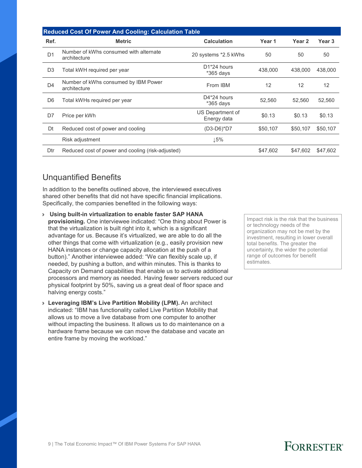|                | <b>Reduced Cost Of Power And Cooling: Calculation Table</b> |                                       |          |                   |                   |
|----------------|-------------------------------------------------------------|---------------------------------------|----------|-------------------|-------------------|
| Ref.           | <b>Metric</b>                                               | <b>Calculation</b>                    | Year 1   | Year <sub>2</sub> | Year <sub>3</sub> |
| D <sub>1</sub> | Number of kWhs consumed with alternate<br>architecture      | 20 systems *2.5 kWhs                  | 50       | 50                | 50                |
| D <sub>3</sub> | Total kWH required per year                                 | D <sub>1</sub> *24 hours<br>*365 days | 438,000  | 438,000           | 438,000           |
| D4             | Number of kWhs consumed by IBM Power<br>architecture        | From IBM                              | 12       | $12 \overline{ }$ | 12                |
| D <sub>6</sub> | Total kWHs required per year                                | D4*24 hours<br>$*365$ days            | 52,560   | 52.560            | 52,560            |
| D7             | Price per kWh                                               | US Department of<br>Energy data       | \$0.13   | \$0.13            | \$0.13            |
| Dt             | Reduced cost of power and cooling                           | (D3-D6)*D7                            | \$50,107 | \$50,107          | \$50,107          |
|                | Risk adjustment                                             | Լ5%                                   |          |                   |                   |
| Dtr            | Reduced cost of power and cooling (risk-adjusted)           |                                       | \$47,602 | \$47,602          | \$47,602          |

### Unquantified Benefits

In addition to the benefits outlined above, the interviewed executives shared other benefits that did not have specific financial implications. Specifically, the companies benefited in the following ways:

- › **Using built-in virtualization to enable faster SAP HANA provisioning.** One interviewee indicated: "One thing about Power is that the virtualization is built right into it, which is a significant advantage for us. Because it's virtualized, we are able to do all the other things that come with virtualization (e.g., easily provision new HANA instances or change capacity allocation at the push of a button)." Another interviewee added: "We can flexibly scale up, if needed, by pushing a button, and within minutes. This is thanks to Capacity on Demand capabilities that enable us to activate additional processors and memory as needed. Having fewer servers reduced our physical footprint by 50%, saving us a great deal of floor space and halving energy costs."
- › **Leveraging IBM's Live Partition Mobility (LPM).** An architect indicated: "IBM has functionality called Live Partition Mobility that allows us to move a live database from one computer to another without impacting the business. It allows us to do maintenance on a hardware frame because we can move the database and vacate an entire frame by moving the workload."

Impact risk is the risk that the business or technology needs of the organization may not be met by the investment, resulting in lower overall total benefits. The greater the uncertainty, the wider the potential range of outcomes for benefit estimates.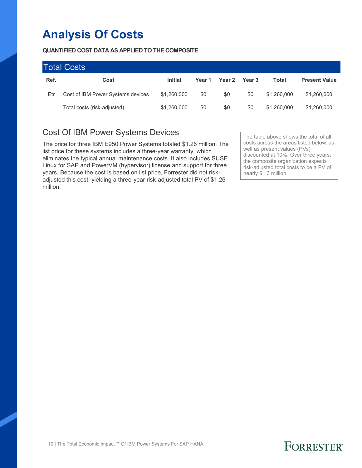## **Analysis Of Costs**

**QUANTIFIED COST DATA AS APPLIED TO THE COMPOSITE** 

| <b>Total Costs</b> |                                   |                |        |        |                   |             |                      |  |
|--------------------|-----------------------------------|----------------|--------|--------|-------------------|-------------|----------------------|--|
| Ref.               | Cost                              | <b>Initial</b> | Year 1 | Year 2 | Year <sub>3</sub> | Total       | <b>Present Value</b> |  |
| Etr                | Cost of IBM Power Systems devices | \$1,260,000    | \$0    | \$0    | \$0               | \$1,260,000 | \$1,260,000          |  |
|                    | Total costs (risk-adjusted)       | \$1,260,000    | \$0    | \$0    | \$0               | \$1,260,000 | \$1,260,000          |  |

### Cost Of IBM Power Systems Devices

The price for three IBM E950 Power Systems totaled \$1.26 million. The list price for these systems includes a three-year warranty, which eliminates the typical annual maintenance costs. It also includes SUSE Linux for SAP and PowerVM (hypervisor) license and support for three years. Because the cost is based on list price, Forrester did not riskadjusted this cost, yielding a three-year risk-adjusted total PV of \$1.26 million.

The table above shows the total of all costs across the areas listed below, as well as present values (PVs) discounted at 10%. Over three years, the composite organization expects risk-adjusted total costs to be a PV of nearly \$1.3 million.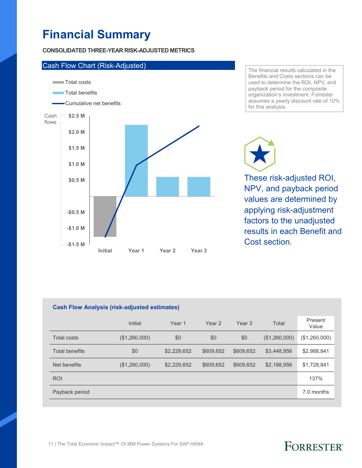## **Financial Summary**

**CONSOLIDATED THREE-YEAR RISK-ADJUSTED METRICS** 



The financial results calculated in the Benefits and Costs sections can be used to determine the ROI, NPV, and payback period for the composite organization's investment. Forrester assumes a yearly discount rate of 10% for this analysis.

These risk-adjusted ROI,

NPV, and payback period values are determined by applying risk-adjustment factors to the unadjusted results in each Benefit and Cost section

#### **Cash Flow Analysis (risk-adjusted estimates)**

|                       | Initial       | Year <sub>1</sub> | Year 2    | Year <sub>3</sub> | Total         | Present<br>Value |
|-----------------------|---------------|-------------------|-----------|-------------------|---------------|------------------|
| <b>Total costs</b>    | (\$1,260,000) | \$0               | \$0       | \$0               | (\$1,260,000) | (\$1,260,000)    |
| <b>Total benefits</b> | \$0           | \$2,229,652       | \$609,652 | \$609,652         | \$3,448,956   | \$2,988,841      |
| Net benefits          | (\$1,260,000) | \$2,229,652       | \$609,652 | \$609,652         | \$2,188,956   | \$1,728,841      |
| <b>ROI</b>            |               |                   |           |                   |               | 137%             |
| Payback period        |               |                   |           |                   |               | 7.0 months       |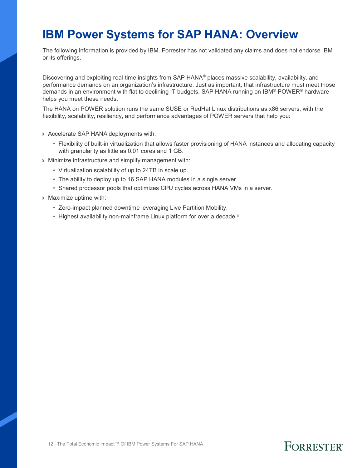### **IBM Power Systems for SAP HANA: Overview**

The following information is provided by IBM. Forrester has not validated any claims and does not endorse IBM or its offerings.

Discovering and exploiting real-time insights from SAP HANA® places massive scalability, availability, and performance demands on an organization's infrastructure. Just as important, that infrastructure must meet those demands in an environment with flat to declining IT budgets. SAP HANA running on IBM® POWER® hardware helps you meet these needs.

The HANA on POWER solution runs the same SUSE or RedHat Linux distributions as x86 servers, with the flexibility, scalability, resiliency, and performance advantages of POWER servers that help you:

- › Accelerate SAP HANA deployments with:
	- Flexibility of built-in virtualization that allows faster provisioning of HANA instances and allocating capacity with granularity as little as 0.01 cores and 1 GB.
- › Minimize infrastructure and simplify management with:
	- Virtualization scalability of up to 24TB in scale up.
	- The ability to deploy up to 16 SAP HANA modules in a single server.
	- Shared processor pools that optimizes CPU cycles across HANA VMs in a server.
- › Maximize uptime with:
	- Zero-impact planned downtime leveraging Live Partition Mobility.
	- Highest availability non-mainframe Linux platform for over a decade.<sup>iii</sup>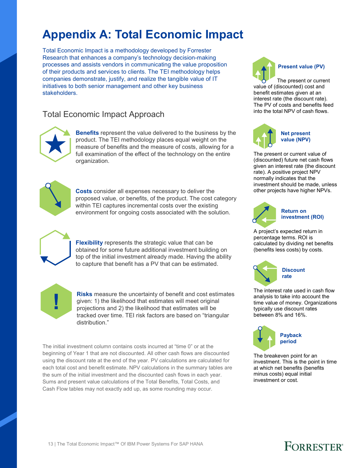## **Appendix A: Total Economic Impact**

Total Economic Impact is a methodology developed by Forrester Research that enhances a company's technology decision-making processes and assists vendors in communicating the value proposition of their products and services to clients. The TEI methodology helps companies demonstrate, justify, and realize the tangible value of IT initiatives to both senior management and other key business stakeholders.

### Total Economic Impact Approach



**Benefits** represent the value delivered to the business by the product. The TEI methodology places equal weight on the measure of benefits and the measure of costs, allowing for a full examination of the effect of the technology on the entire organization.



**Costs** consider all expenses necessary to deliver the proposed value, or benefits, of the product. The cost category within TEI captures incremental costs over the existing environment for ongoing costs associated with the solution.



**Flexibility** represents the strategic value that can be obtained for some future additional investment building on top of the initial investment already made. Having the ability to capture that benefit has a PV that can be estimated.



**Risks** measure the uncertainty of benefit and cost estimates given: 1) the likelihood that estimates will meet original projections and 2) the likelihood that estimates will be tracked over time. TEI risk factors are based on "triangular distribution."

The initial investment column contains costs incurred at "time 0" or at the beginning of Year 1 that are not discounted. All other cash flows are discounted using the discount rate at the end of the year. PV calculations are calculated for each total cost and benefit estimate. NPV calculations in the summary tables are the sum of the initial investment and the discounted cash flows in each year. Sums and present value calculations of the Total Benefits, Total Costs, and Cash Flow tables may not exactly add up, as some rounding may occur.



The present or current value of (discounted) cost and benefit estimates given at an interest rate (the discount rate). The PV of costs and benefits feed into the total NPV of cash flows.



The present or current value of (discounted) future net cash flows given an interest rate (the discount rate). A positive project NPV normally indicates that the investment should be made, unless other projects have higher NPVs.



**Return on investment (ROI)**

A project's expected return in percentage terms. ROI is calculated by dividing net benefits (benefits less costs) by costs.



The interest rate used in cash flow analysis to take into account the time value of money. Organizations typically use discount rates between 8% and 16%.



The breakeven point for an investment. This is the point in time at which net benefits (benefits minus costs) equal initial investment or cost.